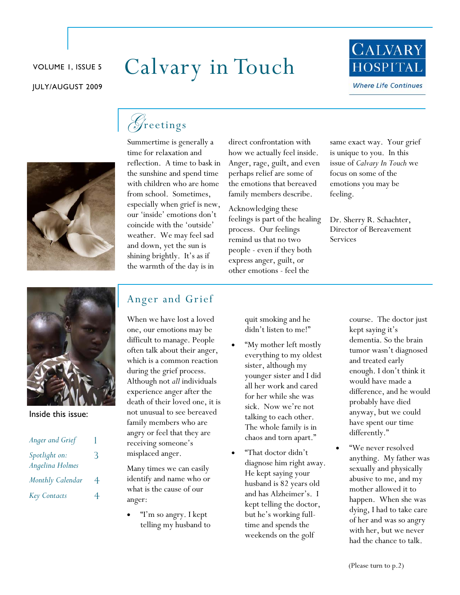#### JULY/AUGUST 2009

# VOLUME 1, ISSUE 5 Calvary in Touch





time for relaxation and reflection. A time to bask in the sunshine and spend time with children who are home from school. Sometimes, especially when grief is new, our 'inside' emotions don't coincide with the 'outside' weather. We may feel sad and down, yet the sun is shining brightly. It's as if the warmth of the day is in

Summertime is generally a

direct confrontation with how we actually feel inside. Anger, rage, guilt, and even perhaps relief are some of the emotions that bereaved family members describe.

Acknowledging these feelings is part of the healing process. Our feelings remind us that no two people - even if they both express anger, guilt, or other emotions - feel the

same exact way. Your grief is unique to you. In this issue of *Calvary In Touch* we focus on some of the emotions you may be feeling.

Dr. Sherry R. Schachter, Director of Bereavement Services



Inside this issue:

| Anger and Grief                  |   |
|----------------------------------|---|
| Spotlight on:<br>Angelina Holmes | 3 |
| Monthly Calendar                 | 4 |
| <b>Key Contacts</b>              |   |

# Anger and Grief

When we have lost a loved one, our emotions may be difficult to manage. People often talk about their anger, which is a common reaction during the grief process. Although not *all* individuals experience anger after the death of their loved one, it is not unusual to see bereaved family members who are angry or feel that they are receiving someone's misplaced anger.

Many times we can easily identify and name who or what is the cause of our anger:

"I'm so angry. I kept telling my husband to quit smoking and he didn't listen to me!"

- "My mother left mostly everything to my oldest sister, although my younger sister and I did all her work and cared for her while she was sick. Now we're not talking to each other. The whole family is in chaos and torn apart."
- "That doctor didn't diagnose him right away. He kept saying your husband is 82 years old and has Alzheimer's. I kept telling the doctor, but he's working fulltime and spends the weekends on the golf

course. The doctor just kept saying it's dementia. So the brain tumor wasn't diagnosed and treated early enough. I don't think it would have made a difference, and he would probably have died anyway, but we could have spent our time differently."

• "We never resolved anything. My father was sexually and physically abusive to me, and my mother allowed it to happen. When she was dying, I had to take care of her and was so angry with her, but we never had the chance to talk.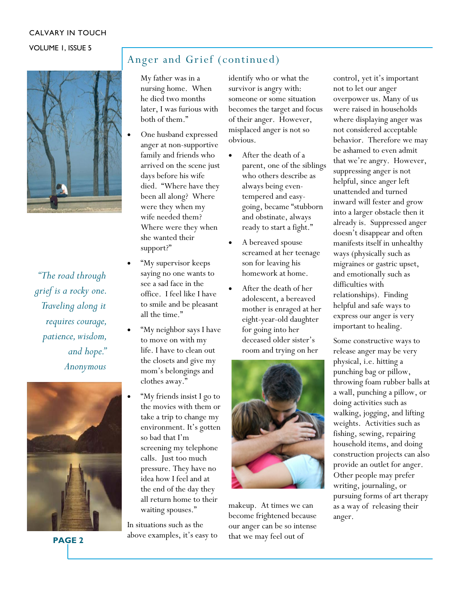#### CALVARY IN TOUCH

#### VOLUME 1, ISSUE 5



*"The road through grief is a rocky one. Traveling along it requires courage, patience, wisdom, and hope." Anonymous* 



**PAGE 2** 

# Anger and Grief (continued)

My father was in a nursing home. When he died two months later, I was furious with both of them."

- One husband expressed anger at non-supportive family and friends who arrived on the scene just days before his wife died. "Where have they been all along? Where were they when my wife needed them? Where were they when she wanted their support?"
- "My supervisor keeps saying no one wants to see a sad face in the office. I feel like I have to smile and be pleasant all the time."
- "My neighbor says I have to move on with my life. I have to clean out the closets and give my mom's belongings and clothes away."
- "My friends insist I go to the movies with them or take a trip to change my environment. It's gotten so bad that I'm screening my telephone calls. Just too much pressure. They have no idea how I feel and at the end of the day they all return home to their waiting spouses."

In situations such as the above examples, it's easy to identify who or what the survivor is angry with: someone or some situation becomes the target and focus of their anger. However, misplaced anger is not so obvious.

- After the death of a parent, one of the siblings who others describe as always being eventempered and easygoing, became "stubborn and obstinate, always ready to start a fight."
- A bereaved spouse screamed at her teenage son for leaving his homework at home.
- After the death of her adolescent, a bereaved mother is enraged at her eight-year-old daughter for going into her deceased older sister's room and trying on her



makeup. At times we can become frightened because our anger can be so intense that we may feel out of

control, yet it's important not to let our anger overpower us. Many of us were raised in households where displaying anger was not considered acceptable behavior. Therefore we may be ashamed to even admit that we're angry. However, suppressing anger is not helpful, since anger left unattended and turned inward will fester and grow into a larger obstacle then it already is. Suppressed anger doesn't disappear and often manifests itself in unhealthy ways (physically such as migraines or gastric upset, and emotionally such as difficulties with relationships). Finding helpful and safe ways to express our anger is very important to healing.

Some constructive ways to release anger may be very physical, i.e. hitting a punching bag or pillow, throwing foam rubber balls at a wall, punching a pillow, or doing activities such as walking, jogging, and lifting weights. Activities such as fishing, sewing, repairing household items, and doing construction projects can also provide an outlet for anger. Other people may prefer writing, journaling, or pursuing forms of art therapy as a way of releasing their anger.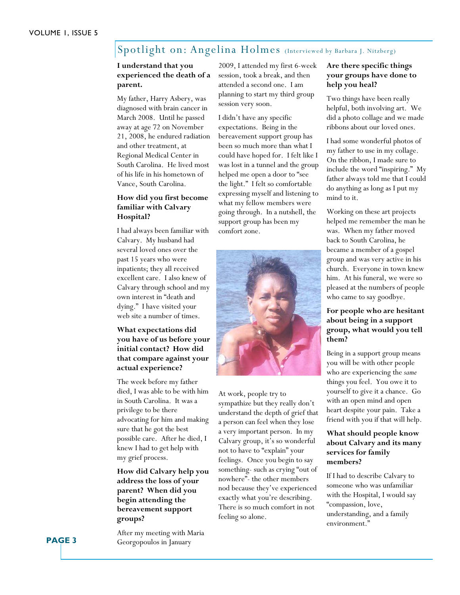## Spotlight on: Angelina Holmes (Interviewed by Barbara J. Nitzberg)

#### **I understand that you experienced the death of a parent.**

My father, Harry Asbery, was diagnosed with brain cancer in March 2008. Until he passed away at age 72 on November 21, 2008, he endured radiation and other treatment, at Regional Medical Center in South Carolina. He lived most of his life in his hometown of Vance, South Carolina.

#### **How did you first become familiar with Calvary Hospital?**

I had always been familiar with Calvary. My husband had several loved ones over the past 15 years who were inpatients; they all received excellent care. I also knew of Calvary through school and my own interest in "death and dying." I have visited your web site a number of times.

#### **What expectations did you have of us before your initial contact? How did that compare against your actual experience?**

The week before my father died, I was able to be with him in South Carolina. It was a privilege to be there advocating for him and making sure that he got the best possible care. After he died, I knew I had to get help with my grief process.

#### **How did Calvary help you address the loss of your parent? When did you begin attending the bereavement support groups?**

After my meeting with Maria Georgopoulos in January

2009, I attended my first 6-week session, took a break, and then attended a second one. I am planning to start my third group session very soon.

I didn't have any specific expectations. Being in the bereavement support group has been so much more than what I could have hoped for. I felt like I was lost in a tunnel and the group helped me open a door to "see the light." I felt so comfortable expressing myself and listening to what my fellow members were going through. In a nutshell, the support group has been my comfort zone.



At work, people try to sympathize but they really don't understand the depth of grief that a person can feel when they lose a very important person. In my Calvary group, it's so wonderful not to have to "explain" your feelings. Once you begin to say something- such as crying "out of nowhere"- the other members nod because they've experienced exactly what you're describing. There is so much comfort in not feeling so alone.

#### **Are there specific things your groups have done to help you heal?**

Two things have been really helpful, both involving art. We did a photo collage and we made ribbons about our loved ones.

I had some wonderful photos of my father to use in my collage. On the ribbon, I made sure to include the word "inspiring." My father always told me that I could do anything as long as I put my mind to it.

Working on these art projects helped me remember the man he was. When my father moved back to South Carolina, he became a member of a gospel group and was very active in his church. Everyone in town knew him. At his funeral, we were so pleased at the numbers of people who came to say goodbye.

#### **For people who are hesitant about being in a support group, what would you tell them?**

Being in a support group means you will be with other people who are experiencing the *same*  things you feel. You owe it to yourself to give it a chance. Go with an open mind and open heart despite your pain. Take a friend with you if that will help.

#### **What should people know about Calvary and its many services for family members?**

If I had to describe Calvary to someone who was unfamiliar with the Hospital, I would say "compassion, love, understanding, and a family environment."

**PAGE 3**